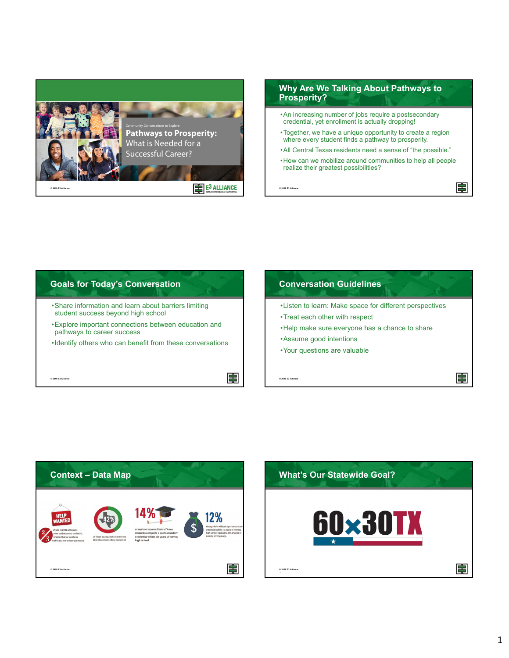







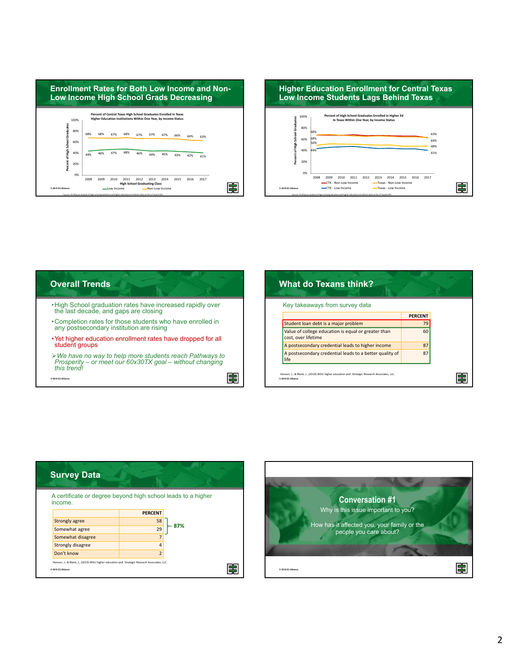





| Key takeaways from survey data                                             |                |  |
|----------------------------------------------------------------------------|----------------|--|
|                                                                            | <b>PERCENT</b> |  |
| Student loan debt is a major problem                                       | 79             |  |
| Value of college education is equal or greater than<br>cost, over lifetime | 60             |  |
| A postsecondary credential leads to higher income                          | 87             |  |
| A postsecondary credential leads to a better quality of<br>life            | 87             |  |